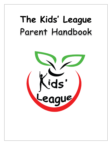# **The Kids' League**Parent Handbook

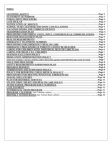# **INDEX**

| LICENSING AGENCY.                                                                        | Page 3. |
|------------------------------------------------------------------------------------------|---------|
|                                                                                          |         |
|                                                                                          |         |
|                                                                                          |         |
|                                                                                          |         |
|                                                                                          |         |
|                                                                                          |         |
| <b>TRANSPORTATION PLAN.</b>                                                              |         |
| PROCEDURES FOR PARENT VISITS, INPUT, CONFERENCES & COMMUNICATIONSPage 5                  |         |
|                                                                                          |         |
| <b>HEALTH REQUIREMENTS.</b>                                                              |         |
|                                                                                          |         |
|                                                                                          |         |
|                                                                                          |         |
| <b>CARING FOR CHILDREN WITH INDIVIDUAL HEALTH CARE PLANSPage 6</b>                       |         |
|                                                                                          |         |
|                                                                                          |         |
|                                                                                          |         |
| SNOW DAY SCHOOL CANCELLATIONS, EARLY RELEASES and DELAYED OPENINGS BECAUSE OF SNOWPage 7 |         |
| <b>FIELD TRIP PROCEDURE.</b>                                                             |         |
|                                                                                          |         |
| <b>PROGRESS REPORTS</b>                                                                  |         |
|                                                                                          |         |
|                                                                                          |         |
|                                                                                          |         |
| <b>SNACKS AND LUNCHES</b>                                                                |         |
| PLAN FOR REFERRAL SERVICES                                                               |         |
|                                                                                          |         |
|                                                                                          |         |
| <b>LATE PAYMENT.</b>                                                                     |         |
|                                                                                          |         |
|                                                                                          |         |
|                                                                                          |         |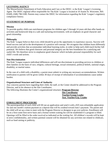# **LICENSING AGENCY**

The Massachusetts Department of Early Education and Care or the DEEC, is the Kids' League's Licensing Agent. The DEEC regional office responsible for The Kids' League is located at 10 Austin St. Worcester, MA 01609, (508) 798-5180. Parents may contact the DEEC for information regarding the Kids' League's regulatory compliance history.

## **STATEMENT OF PURPOSE**

## **Mission**

To provide quality child-care enrichment programs for children ages 5 through 14 years old that offer hands-on activities and homework help in a safe and nurturing environment, with an emphasis on good character and good citizenship.

## **Philosophy**

The Kids' League believes that every child should be given the opportunity to experience success. Success will breed success and aid in the development of a positive self-concept. We recognize that children learn differently and provide activities that accommodate individual learning styles, in order to help each child reach his/her full potential. We believe that good character and personal integrity are the best foundation for a satisfying and useful life. We therefore strive to emphasize good character which includes personal responsibility for each child's words and actions.

#### **Non-Discrimination**

The Kids' League respects individual differences and will not discriminate in providing services to children or their families on the basis of race, religion, cultural heritage, sexual orientation, political beliefs, national origin, disability, or marital status.

In the case of a child with a disability, a parent must submit in writing any necessary accommodations. Written notification to parents will be given within 30 days of receipt of information if accommodations cause undue burden.

#### **Organizational Structure and Lines of Authority**

Any concerns parents have regarding their child, the staff, or the Center should be addressed to the Program Director, and in his absence to the Site Coordinator.

The following illustrates the Center's organizational structure**: Program Director**

 **Site Coordinator Teacher/Group Leader Asst. Teacher/Grp. Leader**

#### **ENROLLMENT PROCEDURE**

The parent/guardian of each child will fill out an application and send it with a \$35 non-refundable application fee and one month's tuition payment as a deposit that will be credited toward June's payment. The parent and the child will set up a time to meet with the Program Director or designee to go over policies. Enrollment will be on a first-come-first-serve basis and a formal written waiting list will be established if a program is filled. Openings will be filled in the order received as indicated on the waiting list. All children's records will be kept in strict confidentiality, and written parental consent will be obtained for any activities not related to childcare, such as fund raising or publicity.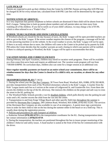# **LATE PICK-UP**

Parents are expected to pick up their children from the Center by 6:00 PM. Parents arriving after 6:05 PM may be charged \$1.00 for every minute late, calculated from 6:00 PM. Late fees will be determined by the sign-out time.

# **NOTIFICATION OF ABSENCE:**

It is very important that parents telephone us before schools are dismissed if their child will be absent from the Kid's League. Taking time to look up parent phone numbers and call parents takes our time away from watching all of the children. If you fail to notify us of your child's absence, we may charge a fee of \$5.00, which is often referred to as a "Finder's Fee."

# **SCHOOL YEAR CALENDAR AND SNOW CANCELLATIONS**

If Westford schools are closed for the day because of snow, the Kids' League will be open provided teachers are able to get to the Kids' League. If the severe weather requires the closure of the program, a message will be left on the answering machine or on the website. In the event weather is severe, the Kids' League will not be open. If there is an early release due to snow, the children will come to the Center to be picked up by parents by 6:00 PM unless the Center decides that the weather warrants an early closing in which case parents will be notified. If there is a delayed opening in Westford, the Kids' League will be open to accommodate that delay.

# **VACATION WEEKS AND CURRICULUM DAYS**

During February and April Vacations, children may enroll in vacation week programs. These will be available on a first-come-first-serve basis and require an additional cost. The vacation week program will run from 7:00AM-6:00PM. On curriculum days, children also can come for a longer session at an additional cost.

**Since regular monthly payments are based on an entire school-year commitment, there will be no reimbursement for days that the Center is closed or if a child is sick, on vacation, or absent for any other reason.**

# **TRANSPORTATION PLAN** (7.14(1))

1. During the school year the Dee Bus Company, 30 Town Farm Road, Westford, MA, 01886, (978) 392-8639, provides transportation from each of the Westford elementary schools to the Kids' League. A teacher from the Kids' League meets each bus as it arrives at the corner of Ledgewood St. and Graniteville Ave. From there she escorts the children to the top of the KL driveway. She instructs the children on the proper and safe way to cross the street to the KL parking lot.

2. The Westford Public Schools provide a van for disabled children, which pulls directly into the parking lot and waits until a KL teacher escorts the child from the van into the center.

3. Transportation to and from Forge Village Beach and other specific field trips throughout the summer is provided by Herrmann Bus Company, 290 Littleton Road, Westford, MA 01886, (978) 692-31243. The services of the Herrmann Bus Company are also available in case of an emergency. A parent must sign a permission form in order for their child to ride on the bus during the summer either to the beach or on a field trip. This is usually done during the registration process.

4. *Policies and procedures for safe transport of children:*

a. Katherine Noland **(978) 692-6733** is the transportation coordinator for the KL. During transportation times her contact information is **(978)235-8719**.

b. During the transportation, the teachers are positioned throughout the bus to insure proper monitoring of the children's behavior and safety issues. A head teacher is seated at the front of the bus for communication with the driver.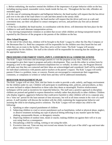c. Before embarking, the teachers remind the children of the importance of proper behavior while on the bus, including staying seated, reasonable voices, hands inside the bus, etc. Throughout the bus ride, offenders are reminded again.

d. In the case of continuing disruptive and belligerent behavior, the head teacher will request that the bus driver pull over to the side of the road where it is safe and then attend to the unruly child.

e. In the case of a medical emergency, the head teacher will request that the driver pull over at a safe and convenient time, use their cell phone to contact emergency services, and perform any first aid as deemed necessary.

f. If the bus is disabled, the head teacher, in coordination with the driver, will determine the best place for the children to wait until alternate transportation arrives.

e. Any moving transportation violation or accident that occurs while children are being transported must be reported by the Director of the program to the parents of the children on the bus.

## **After School Program**

At the end of the school day, children will be brought to the Kids' League by either the Dee Bus Company or the Herrmann Bus Co. Both bus companies will be responsible for the children once they board the bus and while they are en route to the facility. Once they arrive at the Center, The Kids' League will assume responsibility for the children. The staff at the schools will be responsible for ensuring that the children get on the appropriate buses.

# **PROCEDURES FOR PARENT VISITS, INPUT, CONFERENCES & COMMUNICATIONS**

The Kids' League welcomes and encourages parents to visit the program at any time. Parents are also encouraged to give their input in program and policy development. They can do this either in written form by dropping a note in the suggestion/comment/compliment box or verbally. In either case, the Program Director will make sure that they are contacted and their ideas are acknowledged and considered. Staff will be available for individual conferences with parents and/or teachers at the parent's request. The Kids' League will notify parents if there is a problem, issue, or concern. Parents are encouraged to communicate their suggestions, comments, or complaints in written or verbal form and they will be addressed immediately.

# **BEHAVIOR MANAGEMENT PLAN**

The Kids' League will set clear, firm, and fair limits in order to provide a safe, orderly, and happy environment for the children under its care. Children will participate in establishing rules, policies, and procedures, as they are more inclined to subject themselves to those rules they deem as meaningful. Positive reinforcement techniques will be used as incentives for respectful behavior. The staff uses a positive approach to discipline; children are praised and guided to express themselves verbally rather that physically to other children. Children who display negative, aggressive behavior that could prove harmful to other children will sit in a separate area for a "time out" period for the least amount of time necessary, but will at all times remain in the view of a staff person. A staff member will discuss the incident with the child, explaining the inappropriate behavior and assisting the child in developing positive solutions. The Kids' League will not subject any child to the following:

- 1. Spanking or other corporal punishment of children
- 2. Subjecting children to cruel or severe punishment such as humiliation, verbal or physical abuse, neglect, or abusive treatment including any type of physical hitting inflicting in any manner upon the body, shaking, unreasonable threats, or derogatory remarks.
- 3. Depriving children of outdoor time, meals or snacks; making children eat against their will or in any way using food as a consequence.
- 4. Disciplining a child for soiling, wetting or not using the toilet.
- 5. Excessive time-out. Time-out may not exceed one minute for each year of the child's age and must take place within a teacher's view.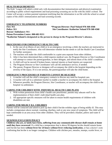# **HEALTH REQUIREMENTS**

The Kids' League will admit a child only with documentation that immunizations and physical examination according to public school requirements and lead poisoning screening are on file with the child's school. The Center will accept a written parental statement testifying that the information is on file with the school or actual copies of the child's immunization and lead screening records.

# **EMERGENCY TELEPHONE NUMBERS**

**Rescue/ Ambulance: 911 Poison Prevention Center: 800-682-9211**

**Fire: 911 \*Program Director: Paul Noland 978-368-4368 Police: 911 Site Coordinator: Katherine Noland 978-368-4368**

**\*Katherine Noland is designated as the person in charge in the Program Director's absence.**

# **PROCEDURES FOR EMERGENCY HEALTH CARE**

- 1. In the case of an illness of any child or in an emergency involving a child, the teachers are instructed to notify the Site Coordinator, who will determine whether he/she needs to call the Health Care Consultant for further assistance.
- 2. The teachers will make the child comfortable in a quiet area separate from other children.
- 3. After it has been determined that a child requires medical care, the Program Director or Site Coordinator will attempt to contact the parent/guardian, or their delegate, and inform them of the child's condition.
- 4. A child will not be moved if broken bones, internal injuries or head injuries are suspected.
- 5. The Program Director or Site Coordinator will call the ambulance service, if needed.
- 6. The parent, Program Director or designee will accompany the child to the hospital depending on the severity of the injury. If it is not serious, the parent/guardian will take the child home.

# **EMERGENCY PROCEDURES IF PARENTS CANNOT BE REACHED**

- 1. A teacher will call the child's emergency contacts to discuss any need for hospital care.
- 2. A teacher will call in a substitute teacher to enable a teacher to accompany the child to the hospital.
- 3. Whenever possible, the Program Director, Site Coordinator, or teacher will accompany the child to the hospital via ambulance.

# **CARING FOR CHILDREN WITH INDIVIDUAL HEALTH CARE PLANS**

- 1. With written permission from child's health care practitioner, parents may educate staff in the implementation of their child's individual health care plan.
- 2. All appropriate specific measures will be taken to ensure health requirements of children with disabilities are met.

# **CARING FOR MILDLY ILL CHILDREN**

Parents will be contacted and asked to pick up their child if he/she exhibits signs of being mildly ill. This may include a temperature above normal, vomiting, diarrhea, rash or any new onset of symptoms. The child will be kept comfortable in an area away from other children. They will be provided a blanket, pillow and water if needed.

# **SICKNESS EXCLUSION POLICY**

**Children who are, or lately have been, suffering from any communicable disease shall remain at home until they have recovered**. If a child has a temperature that is above 99 degrees he/she should remain home until he/she has been **without fever for 24 hours without fever reducing medication**, or has a doctor's note confirming that he/she is no longer contagious. Children with chicken pox, measles, mumps, scarlet fever, or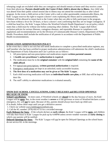whooping cough are excluded while they are contagious and should remain at home until they receive a note from their physician. **Parents should notify the Center if their child is absent due to illness.** Any child who was absent from their public school session due to illness may not attend the extended day or after school program. In the event a child arrives at the Center with a rash or other questionable communicable illness, the Kids' League reserves the right to request a doctor's note explaining the illness and its communicability. Children will be allowed to return back to the Center when they are able to fully participate in the program, have been without a fever for 24 hours, or have a doctor's note confirming that they are no longer contagious. If a child has head lice, the Kids' League follows the Westford Schools Health Department's no nit policy which states that a child must be without nits before contacting other children. The Kids' League shall follow exclusion policies for serious illnesses, contagious diseases, and reportable diseases in compliance with regulations and recommendations set by the Division of Communicable Disease Control, Department of Public Health. Procedures shall include the notification of all parents in accordance with the Department of Public Health recommendations.

# **MEDICATION ADMINISTRATION POLICY**

In the event that a child is not sick but still needs medication to complete a prescribed medication regimen, any staff member who has been certified in proper medication administration will administer the child's medication. The Department of Early Education and Care's policies are as follows:

- 1. All prescription and non-prescription oral medications require **written parental consent**.
- 2. A **health care practitioner's authorization is required**.
- 3. The medication must be in the **original container** with the **original label** containing the **name of the child affixed**.
- 4. For topical non-prescriptions, **written parental authorization** is required.
- 5. Emergency medications are kept in an unlocked, easily accessible location.
- 6. **The first dose of a medication may not be given at The Kids' League**.
- 7. Each child receiving medication will have an **individual health care plan,** or IHP, that will be kept in their file.
- 8. The staff's ability to administer medications is evaluated annually.

## **SNOW DAY SCHOOL CANCELLATIONS, EARLY RELEASES and DELAYED OPENINGS BECAUSE OF SNOW**

**School Cancellations** – In most cases, if Westford schools are **closed** for the day because of snow, the Kids' League will be **open.** But, in the event weather is **severe** or if the governor or town of Westford declares a snow emergency, KL will **not** be open. Because of this, parents should always have back-up child-care. If in doubt, follow these steps until you get a definitive answer:

1. Check our website [www.kidsleaguewestford.com.](http://www.kidsleaguewestford.com/)

2. Call the KL number: (978) 692-6733 for a recorded message

**Early Releases for Snow** - If the schools declare an **early release**, the Kids' League will be **open**, and children will take their buses to Kids' League for pick-up by 6:00PM unless severe weather warrants an **early closing** in which case parents will be notified.

**Delayed Openings for Snow** – The Kids' League will not be open for Delayed Openings as the school buses do not service KL in the mornings.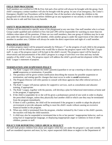# **FIELD TRIP PROCEDURE**

Staff members are certified in CPR & First Aid and a first aid kit will always be brought with the group. Each child's emergency contact numbers will also be brought with the group. In case of an emergency, the Center's Emergency Health Care Procedures will be followed. One of the teachers who brings the children to the playground will check the play area before children go on any equipment or run around, in order to make sure that the area is safe and free from any hazards.

# **SAFETY REQUIREMENTS-SUPERVISION PLAN**

Children will be restricted to specific areas of the playground at any one time. One staff member who is at least Group Leader qualified and certified in First Aid and CPR will be responsible for watching no more than ten children when taken off the premises. If there are two staff members, then one group of children may be in one area under the supervision of one staff member, while another group is under the supervision of the other staff member in another area. Children will always be under the direct supervision and sight of a staff member.

# **PROGRESS REPORTS**

A written progress report will be prepared annually by February  $1<sup>st</sup>$  on the progress of each child in the program. A conference will be offered to parents who would like to discuss the progress report with The Kids' League staff. A copy of the progress report will be kept in the child's record. The progress report will be based on observations and documentation of the child's progress in a range of activities over time and may include samples of the child's work. The progress report will address the child's growth and development within The Kids' League's statement of purpose.

# **TERMINATION AND SUSPENSION POLICY**

- 1. The Kids' League will contact the child's parent(s)/guardian to set up a meeting to discuss options to **avoid** suspension or termination, if possible.
- 2. The parent(s) will be given written notification describing the reasons for possible suspension or termination, and stating specific changes that must occur in order to **avoid** termination.
- 3. The Program Director will refer parents to consult with those agencies that offer referral services, if appropriate.
- 4. The Kids' League will pursue options for supportive services, such as consultation and educator training, if appropriate.
- 5. The Kids' League, together with the parents, will develop a plan for behavioral intervention at home and in the program, if appropriate.
- 6. If the child is suspended, he or she will be given a probationary period of one week in order to display the prescribed changes, unless they physically hurt another child in which case they may be terminated from the program immediately.
- 7. If there is still a problem, the child will be terminated if the program is unable to adapt the physical environment or provide adequate staffing to meet the child's needs without causing an excessive financial burden to the program.
- 8. When any child is terminated from the program, whether initiated by the Center or the child's parents, the teachers will help the child transition.
- 7. A child may also be suspended or terminated due to his or her parents' inappropriate behavior, such as using foul or inappropriate language, or displaying inappropriate anger or rudeness in front of other children, parents or staff.

# **POLICY FOR REPORTING CHILD ABUSE & NEGLECT**

All staff shall protect children from abuse and neglect while they are under the program's care and custody. All staff are mandated reporters and must, by law, report suspected child abuse or neglect to the Department of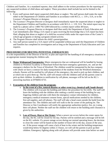Children and Families. As a mandated reporter, they shall adhere to the written procedures for the reporting of any suspected incidents of child abuse and neglect. These procedures shall include but not be limited to the following:

- 1. Every staff person shall report suspected child abuse or neglect. The staff person shall make the report either to the Department of Children and Families in accordance with M.G.L. c. 119 s, 51A, or to the Licensee's Program Director or designee.
- 2. The Licensee's Program Director or designee shall immediately report the suspected abuse or neglect to the Department Children and Families in accordance with M.G.L. c. 119, 51A. The initial report may be made by a phone call to 1-800-792-5200 followed by a written report within 48 hours.
- 3. The Licensee's Program Director or designee shall then notify the Department of Early Education and Care immediately after filing a 51A report or upon receiving the knowledge that a 51A report has been filed, alleging that abuse or neglect of a child has occurred while under the supervision of the Center's school-age programs or during a program-related activity.
- 4. The Program Director shall inform the child's parent/guardian.
- 5. Any staff person named in a 51A report will be suspended without pay until the Department of Children and Families has completed its investigation and as long as the Department of Early Education and Care requires.

# **PROCEDURES FOR MEETING POTENTIAL EMERGENCIES**

It is the responsibility of the Director of the KL to plan and supervise the handling of all emergency situations in an appropriate manner keeping the children safe.

1. **Major Widespread Emergencies:** Major emergencies that are widespread will be handled by busing children to Westford Academy or Blanchard School that have emergency generators, etc. and are the emergency shelters for the Town of Westford. The children would be transported by the bus company with whom we have a contract for daily transportation of the students from the Westford elementary schools. Parents will be notified by cell phone of the emergency, the need to pick up their children, and at which site to pick them up. The KL staff will remain with the children until all the parents come to pick up their children. In addition to notification by cell phone, messages will be left on the KL's answering machine at (978)692-6733.

# 2. **Evacuation of the children from the program:**

- a. **In the event of a fire, natural disaster or other event (e.g. chemical spill, bomb threat)**: The children will evacuate the building and follow the procedure for fire drills. The staff will leave the building with the children after making a careful sweep of the building for any lingering children and take with them the emergency contact information for children, emergency medical treatment consent forms, special medications needed by the children, first aid supplies, and cell phones. The staff will take a head count outside the build from the attendance list. The children and staff will walk to the far corner of the parking lot. The Director or Site Coordinator will notify the appropriate authorities (police, fire, etc.) using their cell phone. Neither the staff nor the children will return to the building until clearance is given by the authorities.
- b. **Loss of Power, Heat or Hot Water:** When a power out occurs before the center opens for the day, the KL will be closed for the day. Parents will be notified and a message will be left on the KL website. If a power outage occurs during our normal operating hours, the decision to close the center will be based on the number of hours left in the day, season of the year, etc. If the power outage will cause a lack of heat in the winter and the building temperature would drop below 65 degrees within 2-3 hours, we will call the parents to pick up their children. Emergency lighting along with cell phones will provide some time before we need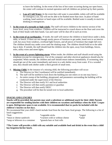to leave the building. In the event of the loss of hot water occurring during our open hours, the center will continue its normal operation until all children are picked up by their parents.

- c. **Loss of Cold Water:** In the event that cold water is unavailable, toilets will still be available for emergency use, but will not be able to be flushed more than once. In place of hand washing, hand sanitizer or hand wipes will be available. Bottled water is usually in stock for drinking in emergencies.
- 3. **In the event of a tornado or high winds:** The staff will move children to the interior section of the lower level, away from windows. Children will be instructed to crouch down on the floor and cover the back of their heads with their hands. Gas and water will be shut off in such an event.
- 4. **In the event of an earthquake:** If inside, the staff will instruct the children to kneel down under a desk, table, or bench. If there are not enough sturdy pieces of furniture to get under, kneel next to an interior wall, but away from windows, overhead light fixtures, and all pieces of furniture that might fall over. The children should stay under cover until the shaking stops. The children should hold on to the table leg or desk. If outside, the staff should lead the children into the open, away from buildings, fences, trees, utility wires and street lights.
- 5. **In the event of a severe lightning storm**: When inside, the children and staff should avoid using the telephone (except for emergencies). Use of the computer and other electrical appliances should also be suspended. When outside, the children and staff should return indoors immediately. If swimming, they should get out of the water immediately and move to a safe shelter away from water. If in a wooded area, they should seek shelter under a thick growth of small trees.
- 6. **Missing Child:** In the instance of a missing child, the following procedure will occur:
	- a. The Director (or Site Coordinator) will be notified immediately
	- b. The staff will be notified to lock down the building (no one enters or no one may leave.)
	- c. An entire sweep of the building, playground, and parameters surrounding the building will be conducted under the supervision of the Director.
	- d. The Director will then notify 911 and local authorities
	- e. The Director will then notify parent(s) or guardian
	- f. The Director will then notify DEEC
	- g. The procedure will be then be turned over to local authorities

#### **SNACKS AND LUNCHES**

**Snacks will be provided, but parents may send a substitute or additional snack for their child. Parents are responsible for sending lunches with their children on vacations and holidays when the Kids' League is open. Refrigerator space is not available. It is recommended that ice packs be included with the children's lunches on hot days.**

We recommend that your child's lunch include food from the four basic food groups. The following is a list of lunch suggestions:

| *fruit                            | *vegetable sticks                | *yogurt |
|-----------------------------------|----------------------------------|---------|
| *meat or cheese sandwich          | *crackers with or without cheese | *salad  |
| *soup or leftovers in a container | *granola bars or fruit rolls     |         |

**\*The Center will provide a child with any suitable and available food and drink in the event that a child has forgotten his/her lunch.**